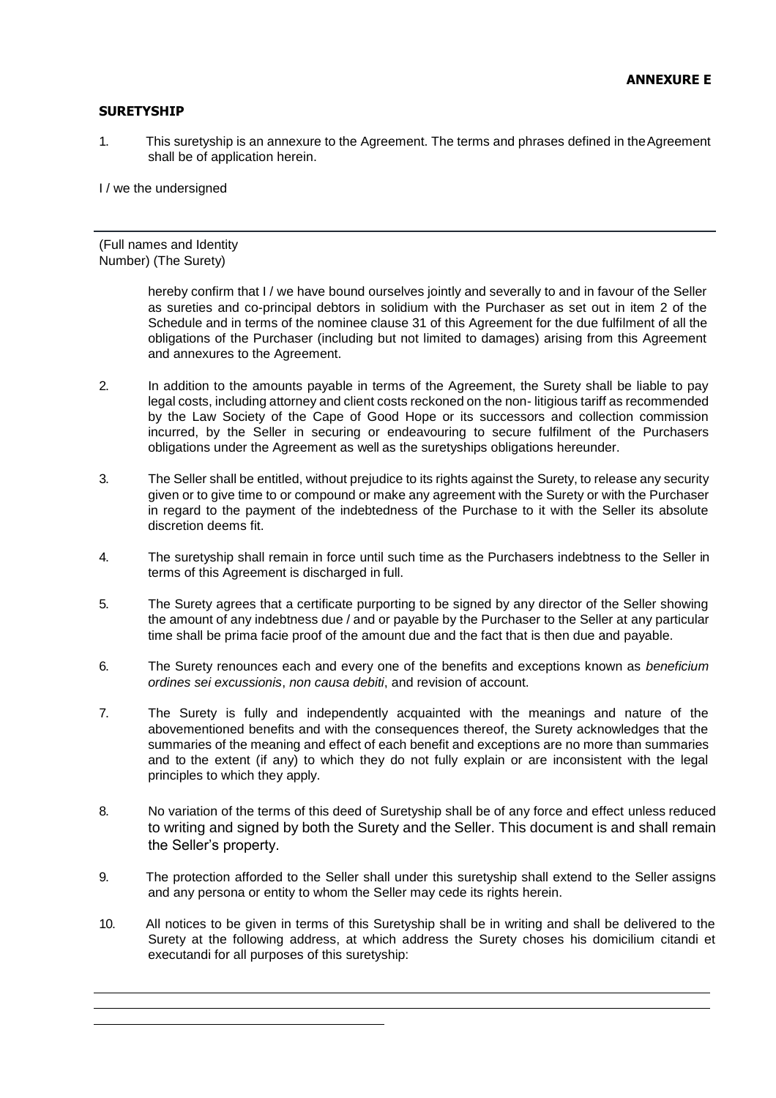## **SURETYSHIP**

1. This suretyship is an annexure to the Agreement. The terms and phrases defined in the Agreement shall be of application herein.

I / we the undersigned

(Full names and Identity Number) (The Surety)

> hereby confirm that I / we have bound ourselves jointly and severally to and in favour of the Seller as sureties and co-principal debtors in solidium with the Purchaser as set out in item 2 of the Schedule and in terms of the nominee clause 31 of this Agreement for the due fulfilment of all the obligations of the Purchaser (including but not limited to damages) arising from this Agreement and annexures to the Agreement.

- 2. In addition to the amounts payable in terms of the Agreement, the Surety shall be liable to pay legal costs, including attorney and client costs reckoned on the non- litigious tariff as recommended by the Law Society of the Cape of Good Hope or its successors and collection commission incurred, by the Seller in securing or endeavouring to secure fulfilment of the Purchasers obligations under the Agreement as well as the suretyships obligations hereunder.
- 3. The Seller shall be entitled, without prejudice to its rights against the Surety, to release any security given or to give time to or compound or make any agreement with the Surety or with the Purchaser in regard to the payment of the indebtedness of the Purchase to it with the Seller its absolute discretion deems fit.
- 4. The suretyship shall remain in force until such time as the Purchasers indebtness to the Seller in terms of this Agreement is discharged in full.
- 5. The Surety agrees that a certificate purporting to be signed by any director of the Seller showing the amount of any indebtness due / and or payable by the Purchaser to the Seller at any particular time shall be prima facie proof of the amount due and the fact that is then due and payable.
- 6. The Surety renounces each and every one of the benefits and exceptions known as *beneficium ordines sei excussionis*, *non causa debiti*, and revision of account.
- 7. The Surety is fully and independently acquainted with the meanings and nature of the abovementioned benefits and with the consequences thereof, the Surety acknowledges that the summaries of the meaning and effect of each benefit and exceptions are no more than summaries and to the extent (if any) to which they do not fully explain or are inconsistent with the legal principles to which they apply.
- 8. No variation of the terms of this deed of Suretyship shall be of any force and effect unless reduced to writing and signed by both the Surety and the Seller. This document is and shall remain the Seller's property.
- 9. The protection afforded to the Seller shall under this suretyship shall extend to the Seller assigns and any persona or entity to whom the Seller may cede its rights herein.
- 10. All notices to be given in terms of this Suretyship shall be in writing and shall be delivered to the Surety at the following address, at which address the Surety choses his domicilium citandi et executandi for all purposes of this suretyship: